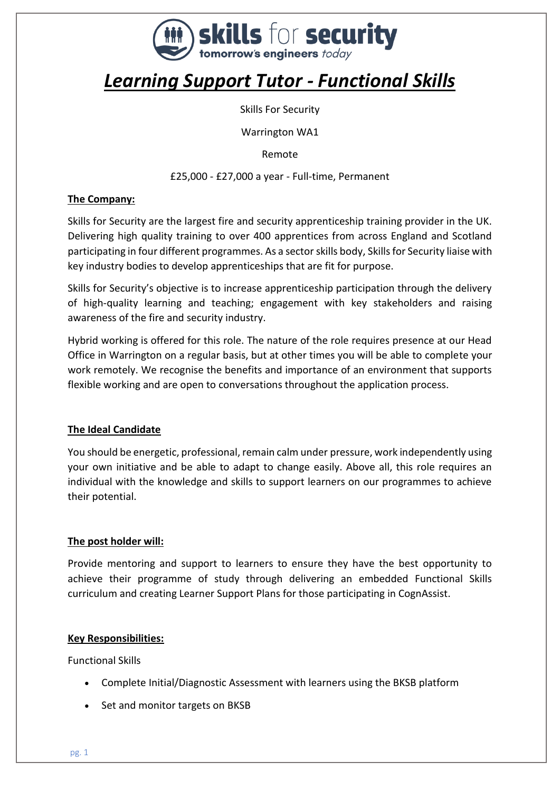

# *Learning Support Tutor - Functional Skills*

Skills For Security

Warrington WA1

Remote

£25,000 - £27,000 a year - Full-time, Permanent

## **The Company:**

Skills for Security are the largest fire and security apprenticeship training provider in the UK. Delivering high quality training to over 400 apprentices from across England and Scotland participating in four different programmes. As a sector skills body, Skills for Security liaise with key industry bodies to develop apprenticeships that are fit for purpose.

Skills for Security's objective is to increase apprenticeship participation through the delivery of high-quality learning and teaching; engagement with key stakeholders and raising awareness of the fire and security industry.

Hybrid working is offered for this role. The nature of the role requires presence at our Head Office in Warrington on a regular basis, but at other times you will be able to complete your work remotely. We recognise the benefits and importance of an environment that supports flexible working and are open to conversations throughout the application process.

# **The Ideal Candidate**

You should be energetic, professional, remain calm under pressure, work independently using your own initiative and be able to adapt to change easily. Above all, this role requires an individual with the knowledge and skills to support learners on our programmes to achieve their potential.

# **The post holder will:**

Provide mentoring and support to learners to ensure they have the best opportunity to achieve their programme of study through delivering an embedded Functional Skills curriculum and creating Learner Support Plans for those participating in CognAssist.

#### **Key Responsibilities:**

Functional Skills

- Complete Initial/Diagnostic Assessment with learners using the BKSB platform
- Set and monitor targets on BKSB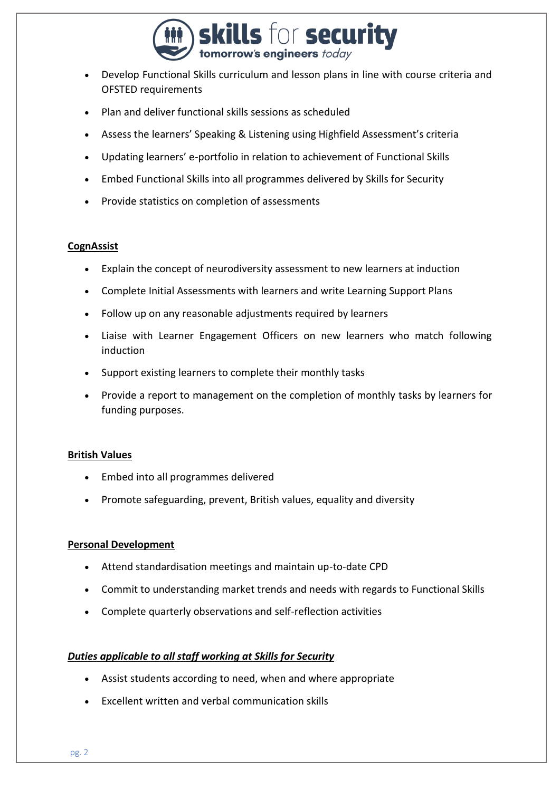

- Develop Functional Skills curriculum and lesson plans in line with course criteria and OFSTED requirements
- Plan and deliver functional skills sessions as scheduled
- Assess the learners' Speaking & Listening using Highfield Assessment's criteria
- Updating learners' e-portfolio in relation to achievement of Functional Skills
- Embed Functional Skills into all programmes delivered by Skills for Security
- Provide statistics on completion of assessments

#### **CognAssist**

- Explain the concept of neurodiversity assessment to new learners at induction
- Complete Initial Assessments with learners and write Learning Support Plans
- Follow up on any reasonable adjustments required by learners
- Liaise with Learner Engagement Officers on new learners who match following induction
- Support existing learners to complete their monthly tasks
- Provide a report to management on the completion of monthly tasks by learners for funding purposes.

#### **British Values**

- Embed into all programmes delivered
- Promote safeguarding, prevent, British values, equality and diversity

#### **Personal Development**

- Attend standardisation meetings and maintain up-to-date CPD
- Commit to understanding market trends and needs with regards to Functional Skills
- Complete quarterly observations and self-reflection activities

#### *Duties applicable to all staff working at Skills for Security*

- Assist students according to need, when and where appropriate
- Excellent written and verbal communication skills